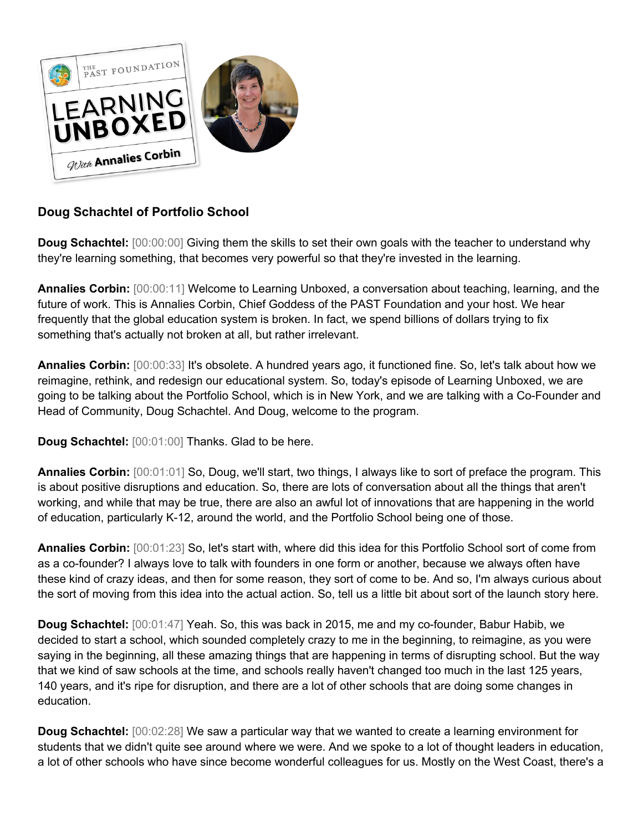

## **Doug Schachtel of Portfolio School**

**Doug Schachtel:** [00:00:00] Giving them the skills to set their own goals with the teacher to understand why they're learning something, that becomes very powerful so that they're invested in the learning.

**Annalies Corbin:** [00:00:11] Welcome to Learning Unboxed, a conversation about teaching, learning, and the future of work. This is Annalies Corbin, Chief Goddess of the PAST Foundation and your host. We hear frequently that the global education system is broken. In fact, we spend billions of dollars trying to fix something that's actually not broken at all, but rather irrelevant.

**Annalies Corbin:** [00:00:33] It's obsolete. A hundred years ago, it functioned fine. So, let's talk about how we reimagine, rethink, and redesign our educational system. So, today's episode of Learning Unboxed, we are going to be talking about the Portfolio School, which is in New York, and we are talking with a Co-Founder and Head of Community, Doug Schachtel. And Doug, welcome to the program.

**Doug Schachtel:** [00:01:00] Thanks. Glad to be here.

**Annalies Corbin:** [00:01:01] So, Doug, we'll start, two things, I always like to sort of preface the program. This is about positive disruptions and education. So, there are lots of conversation about all the things that aren't working, and while that may be true, there are also an awful lot of innovations that are happening in the world of education, particularly K-12, around the world, and the Portfolio School being one of those.

**Annalies Corbin:** [00:01:23] So, let's start with, where did this idea for this Portfolio School sort of come from as a co-founder? I always love to talk with founders in one form or another, because we always often have these kind of crazy ideas, and then for some reason, they sort of come to be. And so, I'm always curious about the sort of moving from this idea into the actual action. So, tell us a little bit about sort of the launch story here.

**Doug Schachtel:** [00:01:47] Yeah. So, this was back in 2015, me and my co-founder, Babur Habib, we decided to start a school, which sounded completely crazy to me in the beginning, to reimagine, as you were saying in the beginning, all these amazing things that are happening in terms of disrupting school. But the way that we kind of saw schools at the time, and schools really haven't changed too much in the last 125 years, 140 years, and it's ripe for disruption, and there are a lot of other schools that are doing some changes in education.

**Doug Schachtel:** [00:02:28] We saw a particular way that we wanted to create a learning environment for students that we didn't quite see around where we were. And we spoke to a lot of thought leaders in education, a lot of other schools who have since become wonderful colleagues for us. Mostly on the West Coast, there's a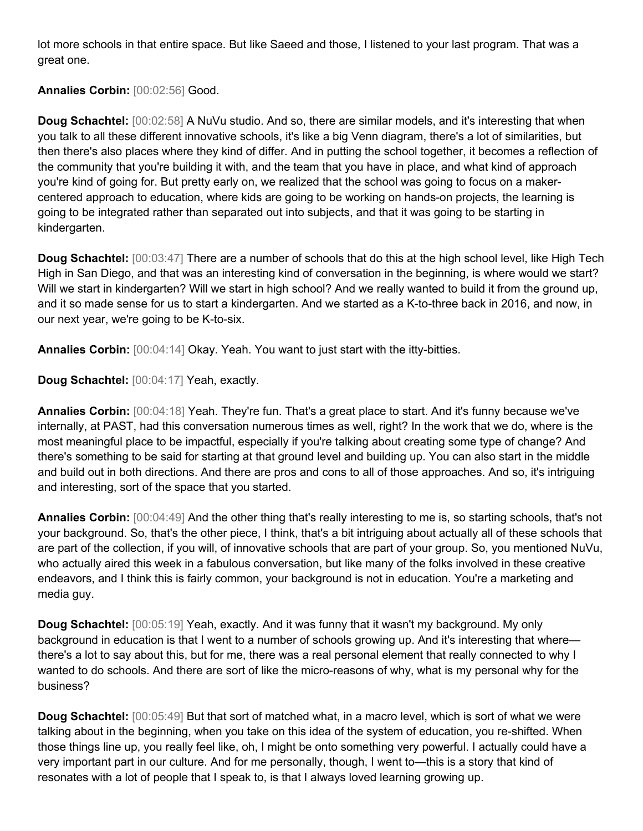lot more schools in that entire space. But like Saeed and those, I listened to your last program. That was a great one.

**Annalies Corbin:** [00:02:56] Good.

**Doug Schachtel:** [00:02:58] A NuVu studio. And so, there are similar models, and it's interesting that when you talk to all these different innovative schools, it's like a big Venn diagram, there's a lot of similarities, but then there's also places where they kind of differ. And in putting the school together, it becomes a reflection of the community that you're building it with, and the team that you have in place, and what kind of approach you're kind of going for. But pretty early on, we realized that the school was going to focus on a makercentered approach to education, where kids are going to be working on hands-on projects, the learning is going to be integrated rather than separated out into subjects, and that it was going to be starting in kindergarten.

**Doug Schachtel:** [00:03:47] There are a number of schools that do this at the high school level, like High Tech High in San Diego, and that was an interesting kind of conversation in the beginning, is where would we start? Will we start in kindergarten? Will we start in high school? And we really wanted to build it from the ground up, and it so made sense for us to start a kindergarten. And we started as a K-to-three back in 2016, and now, in our next year, we're going to be K-to-six.

**Annalies Corbin:** [00:04:14] Okay. Yeah. You want to just start with the itty-bitties.

**Doug Schachtel:** [00:04:17] Yeah, exactly.

**Annalies Corbin:** [00:04:18] Yeah. They're fun. That's a great place to start. And it's funny because we've internally, at PAST, had this conversation numerous times as well, right? In the work that we do, where is the most meaningful place to be impactful, especially if you're talking about creating some type of change? And there's something to be said for starting at that ground level and building up. You can also start in the middle and build out in both directions. And there are pros and cons to all of those approaches. And so, it's intriguing and interesting, sort of the space that you started.

**Annalies Corbin:** [00:04:49] And the other thing that's really interesting to me is, so starting schools, that's not your background. So, that's the other piece, I think, that's a bit intriguing about actually all of these schools that are part of the collection, if you will, of innovative schools that are part of your group. So, you mentioned NuVu, who actually aired this week in a fabulous conversation, but like many of the folks involved in these creative endeavors, and I think this is fairly common, your background is not in education. You're a marketing and media guy.

**Doug Schachtel:** [00:05:19] Yeah, exactly. And it was funny that it wasn't my background. My only background in education is that I went to a number of schools growing up. And it's interesting that where there's a lot to say about this, but for me, there was a real personal element that really connected to why I wanted to do schools. And there are sort of like the micro-reasons of why, what is my personal why for the business?

**Doug Schachtel:** [00:05:49] But that sort of matched what, in a macro level, which is sort of what we were talking about in the beginning, when you take on this idea of the system of education, you re-shifted. When those things line up, you really feel like, oh, I might be onto something very powerful. I actually could have a very important part in our culture. And for me personally, though, I went to—this is a story that kind of resonates with a lot of people that I speak to, is that I always loved learning growing up.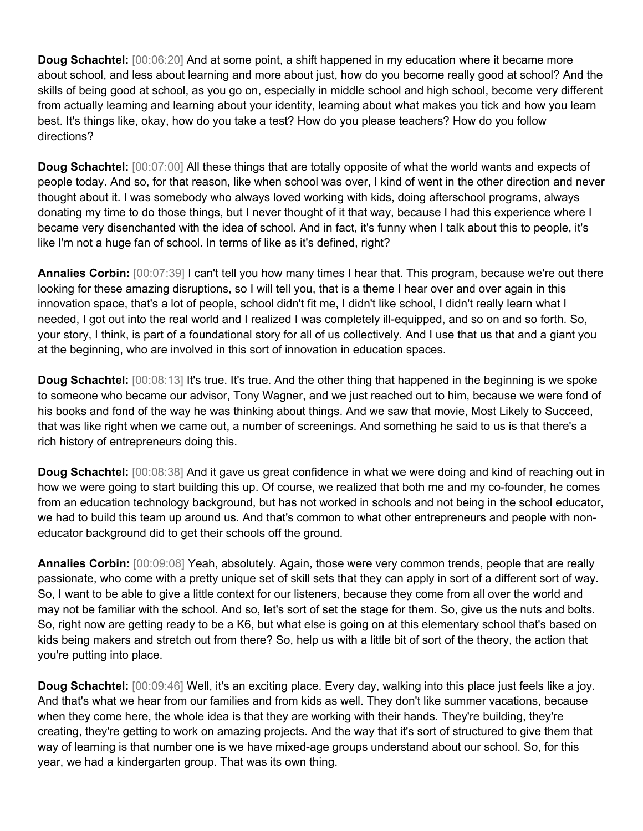**Doug Schachtel:** [00:06:20] And at some point, a shift happened in my education where it became more about school, and less about learning and more about just, how do you become really good at school? And the skills of being good at school, as you go on, especially in middle school and high school, become very different from actually learning and learning about your identity, learning about what makes you tick and how you learn best. It's things like, okay, how do you take a test? How do you please teachers? How do you follow directions?

**Doug Schachtel:** [00:07:00] All these things that are totally opposite of what the world wants and expects of people today. And so, for that reason, like when school was over, I kind of went in the other direction and never thought about it. I was somebody who always loved working with kids, doing afterschool programs, always donating my time to do those things, but I never thought of it that way, because I had this experience where I became very disenchanted with the idea of school. And in fact, it's funny when I talk about this to people, it's like I'm not a huge fan of school. In terms of like as it's defined, right?

**Annalies Corbin:** [00:07:39] I can't tell you how many times I hear that. This program, because we're out there looking for these amazing disruptions, so I will tell you, that is a theme I hear over and over again in this innovation space, that's a lot of people, school didn't fit me, I didn't like school, I didn't really learn what I needed, I got out into the real world and I realized I was completely ill-equipped, and so on and so forth. So, your story, I think, is part of a foundational story for all of us collectively. And I use that us that and a giant you at the beginning, who are involved in this sort of innovation in education spaces.

**Doug Schachtel:**  $[00:08:13]$  It's true. It's true. And the other thing that happened in the beginning is we spoke to someone who became our advisor, Tony Wagner, and we just reached out to him, because we were fond of his books and fond of the way he was thinking about things. And we saw that movie, Most Likely to Succeed, that was like right when we came out, a number of screenings. And something he said to us is that there's a rich history of entrepreneurs doing this.

**Doug Schachtel:** [00:08:38] And it gave us great confidence in what we were doing and kind of reaching out in how we were going to start building this up. Of course, we realized that both me and my co-founder, he comes from an education technology background, but has not worked in schools and not being in the school educator, we had to build this team up around us. And that's common to what other entrepreneurs and people with noneducator background did to get their schools off the ground.

**Annalies Corbin:** [00:09:08] Yeah, absolutely. Again, those were very common trends, people that are really passionate, who come with a pretty unique set of skill sets that they can apply in sort of a different sort of way. So, I want to be able to give a little context for our listeners, because they come from all over the world and may not be familiar with the school. And so, let's sort of set the stage for them. So, give us the nuts and bolts. So, right now are getting ready to be a K6, but what else is going on at this elementary school that's based on kids being makers and stretch out from there? So, help us with a little bit of sort of the theory, the action that you're putting into place.

**Doug Schachtel:** [00:09:46] Well, it's an exciting place. Every day, walking into this place just feels like a joy. And that's what we hear from our families and from kids as well. They don't like summer vacations, because when they come here, the whole idea is that they are working with their hands. They're building, they're creating, they're getting to work on amazing projects. And the way that it's sort of structured to give them that way of learning is that number one is we have mixed-age groups understand about our school. So, for this year, we had a kindergarten group. That was its own thing.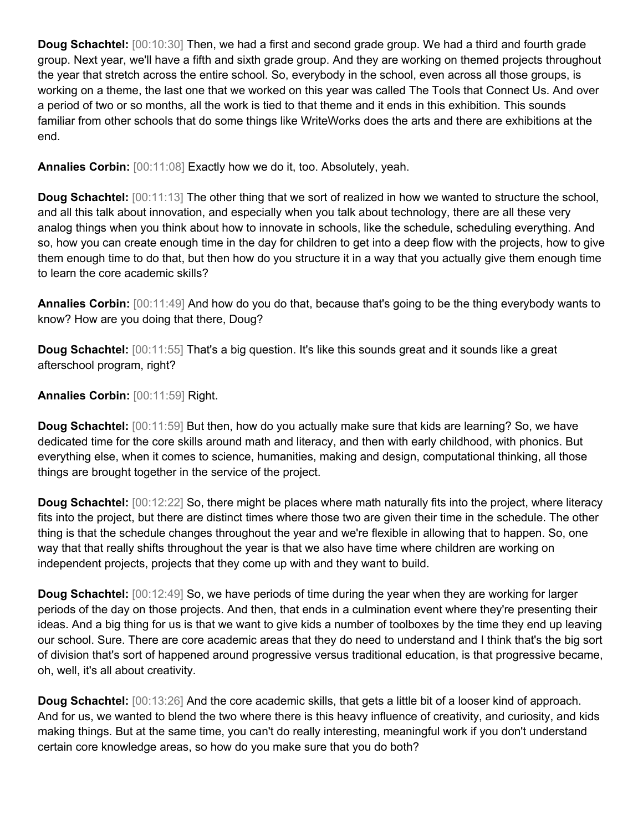**Doug Schachtel:** [00:10:30] Then, we had a first and second grade group. We had a third and fourth grade group. Next year, we'll have a fifth and sixth grade group. And they are working on themed projects throughout the year that stretch across the entire school. So, everybody in the school, even across all those groups, is working on a theme, the last one that we worked on this year was called The Tools that Connect Us. And over a period of two or so months, all the work is tied to that theme and it ends in this exhibition. This sounds familiar from other schools that do some things like WriteWorks does the arts and there are exhibitions at the end.

**Annalies Corbin:** [00:11:08] Exactly how we do it, too. Absolutely, yeah.

**Doug Schachtel:** [00:11:13] The other thing that we sort of realized in how we wanted to structure the school, and all this talk about innovation, and especially when you talk about technology, there are all these very analog things when you think about how to innovate in schools, like the schedule, scheduling everything. And so, how you can create enough time in the day for children to get into a deep flow with the projects, how to give them enough time to do that, but then how do you structure it in a way that you actually give them enough time to learn the core academic skills?

**Annalies Corbin:** [00:11:49] And how do you do that, because that's going to be the thing everybody wants to know? How are you doing that there, Doug?

**Doug Schachtel:** [00:11:55] That's a big question. It's like this sounds great and it sounds like a great afterschool program, right?

**Annalies Corbin:** [00:11:59] Right.

**Doug Schachtel:** [00:11:59] But then, how do you actually make sure that kids are learning? So, we have dedicated time for the core skills around math and literacy, and then with early childhood, with phonics. But everything else, when it comes to science, humanities, making and design, computational thinking, all those things are brought together in the service of the project.

**Doug Schachtel:** [00:12:22] So, there might be places where math naturally fits into the project, where literacy fits into the project, but there are distinct times where those two are given their time in the schedule. The other thing is that the schedule changes throughout the year and we're flexible in allowing that to happen. So, one way that that really shifts throughout the year is that we also have time where children are working on independent projects, projects that they come up with and they want to build.

**Doug Schachtel:** [00:12:49] So, we have periods of time during the year when they are working for larger periods of the day on those projects. And then, that ends in a culmination event where they're presenting their ideas. And a big thing for us is that we want to give kids a number of toolboxes by the time they end up leaving our school. Sure. There are core academic areas that they do need to understand and I think that's the big sort of division that's sort of happened around progressive versus traditional education, is that progressive became, oh, well, it's all about creativity.

**Doug Schachtel:** [00:13:26] And the core academic skills, that gets a little bit of a looser kind of approach. And for us, we wanted to blend the two where there is this heavy influence of creativity, and curiosity, and kids making things. But at the same time, you can't do really interesting, meaningful work if you don't understand certain core knowledge areas, so how do you make sure that you do both?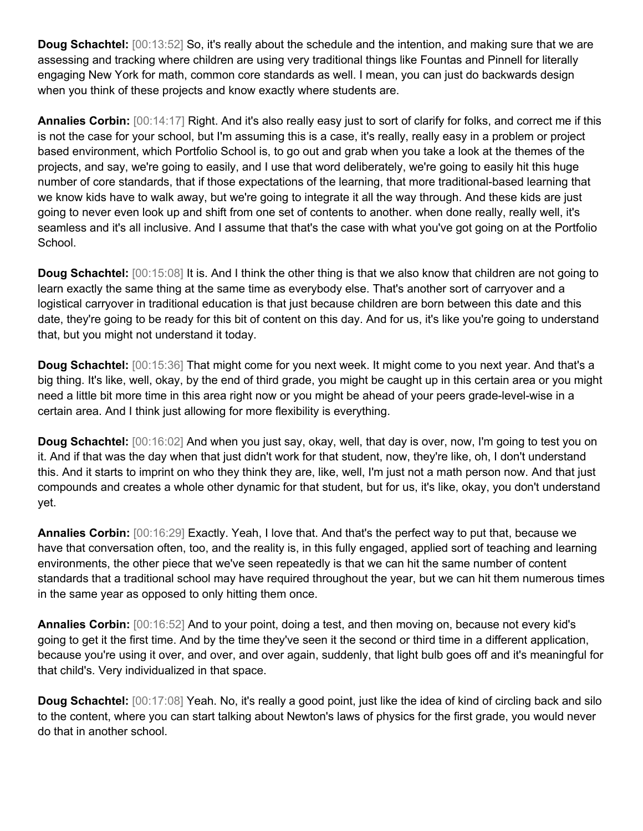**Doug Schachtel:** [00:13:52] So, it's really about the schedule and the intention, and making sure that we are assessing and tracking where children are using very traditional things like Fountas and Pinnell for literally engaging New York for math, common core standards as well. I mean, you can just do backwards design when you think of these projects and know exactly where students are.

**Annalies Corbin:** [00:14:17] Right. And it's also really easy just to sort of clarify for folks, and correct me if this is not the case for your school, but I'm assuming this is a case, it's really, really easy in a problem or project based environment, which Portfolio School is, to go out and grab when you take a look at the themes of the projects, and say, we're going to easily, and I use that word deliberately, we're going to easily hit this huge number of core standards, that if those expectations of the learning, that more traditional-based learning that we know kids have to walk away, but we're going to integrate it all the way through. And these kids are just going to never even look up and shift from one set of contents to another. when done really, really well, it's seamless and it's all inclusive. And I assume that that's the case with what you've got going on at the Portfolio School.

**Doug Schachtel:** [00:15:08] It is. And I think the other thing is that we also know that children are not going to learn exactly the same thing at the same time as everybody else. That's another sort of carryover and a logistical carryover in traditional education is that just because children are born between this date and this date, they're going to be ready for this bit of content on this day. And for us, it's like you're going to understand that, but you might not understand it today.

**Doug Schachtel:** [00:15:36] That might come for you next week. It might come to you next year. And that's a big thing. It's like, well, okay, by the end of third grade, you might be caught up in this certain area or you might need a little bit more time in this area right now or you might be ahead of your peers grade-level-wise in a certain area. And I think just allowing for more flexibility is everything.

**Doug Schachtel:** [00:16:02] And when you just say, okay, well, that day is over, now, I'm going to test you on it. And if that was the day when that just didn't work for that student, now, they're like, oh, I don't understand this. And it starts to imprint on who they think they are, like, well, I'm just not a math person now. And that just compounds and creates a whole other dynamic for that student, but for us, it's like, okay, you don't understand yet.

**Annalies Corbin:** [00:16:29] Exactly. Yeah, I love that. And that's the perfect way to put that, because we have that conversation often, too, and the reality is, in this fully engaged, applied sort of teaching and learning environments, the other piece that we've seen repeatedly is that we can hit the same number of content standards that a traditional school may have required throughout the year, but we can hit them numerous times in the same year as opposed to only hitting them once.

**Annalies Corbin:** [00:16:52] And to your point, doing a test, and then moving on, because not every kid's going to get it the first time. And by the time they've seen it the second or third time in a different application, because you're using it over, and over, and over again, suddenly, that light bulb goes off and it's meaningful for that child's. Very individualized in that space.

**Doug Schachtel:** [00:17:08] Yeah. No, it's really a good point, just like the idea of kind of circling back and silo to the content, where you can start talking about Newton's laws of physics for the first grade, you would never do that in another school.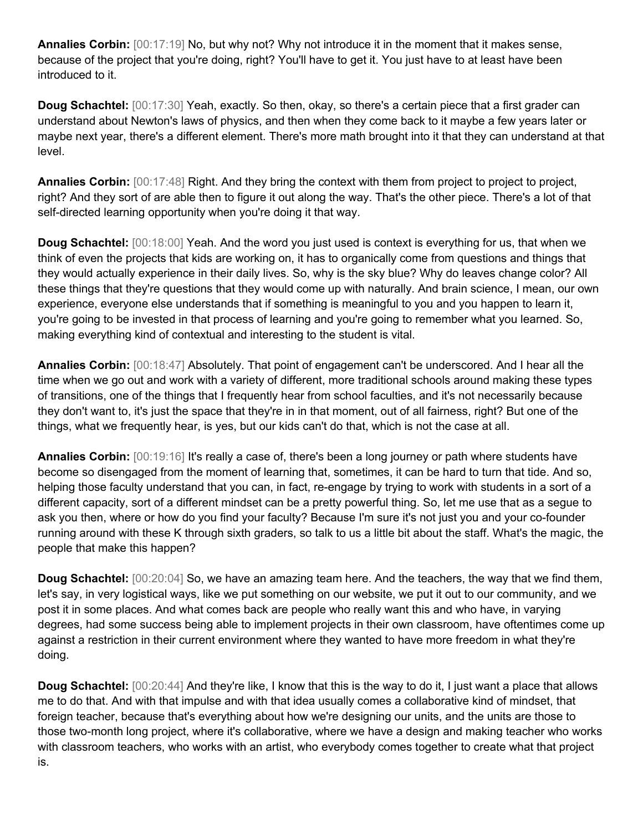**Annalies Corbin:** [00:17:19] No, but why not? Why not introduce it in the moment that it makes sense, because of the project that you're doing, right? You'll have to get it. You just have to at least have been introduced to it.

**Doug Schachtel:** [00:17:30] Yeah, exactly. So then, okay, so there's a certain piece that a first grader can understand about Newton's laws of physics, and then when they come back to it maybe a few years later or maybe next year, there's a different element. There's more math brought into it that they can understand at that level.

**Annalies Corbin:** [00:17:48] Right. And they bring the context with them from project to project to project, right? And they sort of are able then to figure it out along the way. That's the other piece. There's a lot of that self-directed learning opportunity when you're doing it that way.

**Doug Schachtel:** [00:18:00] Yeah. And the word you just used is context is everything for us, that when we think of even the projects that kids are working on, it has to organically come from questions and things that they would actually experience in their daily lives. So, why is the sky blue? Why do leaves change color? All these things that they're questions that they would come up with naturally. And brain science, I mean, our own experience, everyone else understands that if something is meaningful to you and you happen to learn it, you're going to be invested in that process of learning and you're going to remember what you learned. So, making everything kind of contextual and interesting to the student is vital.

**Annalies Corbin:** [00:18:47] Absolutely. That point of engagement can't be underscored. And I hear all the time when we go out and work with a variety of different, more traditional schools around making these types of transitions, one of the things that I frequently hear from school faculties, and it's not necessarily because they don't want to, it's just the space that they're in in that moment, out of all fairness, right? But one of the things, what we frequently hear, is yes, but our kids can't do that, which is not the case at all.

**Annalies Corbin:** [00:19:16] It's really a case of, there's been a long journey or path where students have become so disengaged from the moment of learning that, sometimes, it can be hard to turn that tide. And so, helping those faculty understand that you can, in fact, re-engage by trying to work with students in a sort of a different capacity, sort of a different mindset can be a pretty powerful thing. So, let me use that as a segue to ask you then, where or how do you find your faculty? Because I'm sure it's not just you and your co-founder running around with these K through sixth graders, so talk to us a little bit about the staff. What's the magic, the people that make this happen?

**Doug Schachtel:** [00:20:04] So, we have an amazing team here. And the teachers, the way that we find them, let's say, in very logistical ways, like we put something on our website, we put it out to our community, and we post it in some places. And what comes back are people who really want this and who have, in varying degrees, had some success being able to implement projects in their own classroom, have oftentimes come up against a restriction in their current environment where they wanted to have more freedom in what they're doing.

**Doug Schachtel:** [00:20:44] And they're like, I know that this is the way to do it, I just want a place that allows me to do that. And with that impulse and with that idea usually comes a collaborative kind of mindset, that foreign teacher, because that's everything about how we're designing our units, and the units are those to those two-month long project, where it's collaborative, where we have a design and making teacher who works with classroom teachers, who works with an artist, who everybody comes together to create what that project is.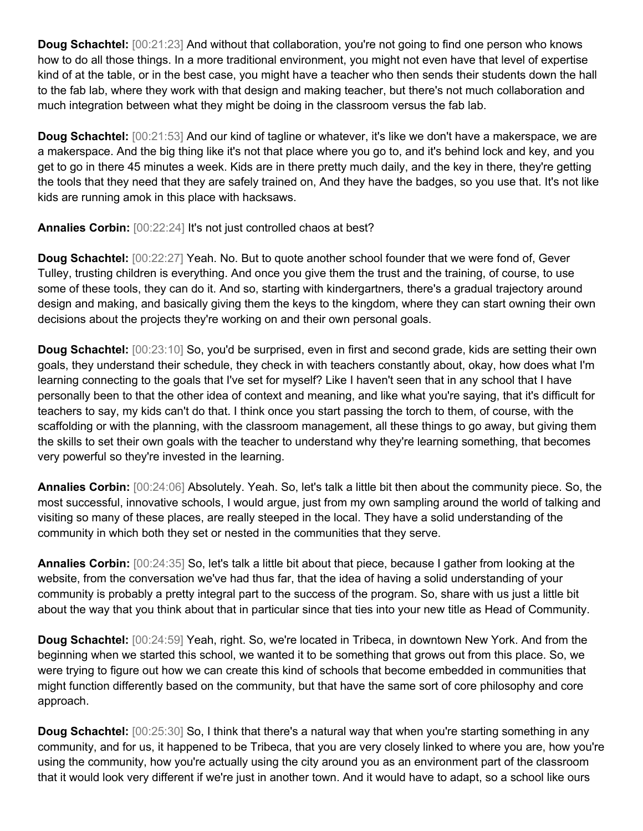**Doug Schachtel:** [00:21:23] And without that collaboration, you're not going to find one person who knows how to do all those things. In a more traditional environment, you might not even have that level of expertise kind of at the table, or in the best case, you might have a teacher who then sends their students down the hall to the fab lab, where they work with that design and making teacher, but there's not much collaboration and much integration between what they might be doing in the classroom versus the fab lab.

**Doug Schachtel:** [00:21:53] And our kind of tagline or whatever, it's like we don't have a makerspace, we are a makerspace. And the big thing like it's not that place where you go to, and it's behind lock and key, and you get to go in there 45 minutes a week. Kids are in there pretty much daily, and the key in there, they're getting the tools that they need that they are safely trained on, And they have the badges, so you use that. It's not like kids are running amok in this place with hacksaws.

**Annalies Corbin:** [00:22:24] It's not just controlled chaos at best?

**Doug Schachtel:** [00:22:27] Yeah. No. But to quote another school founder that we were fond of, Gever Tulley, trusting children is everything. And once you give them the trust and the training, of course, to use some of these tools, they can do it. And so, starting with kindergartners, there's a gradual trajectory around design and making, and basically giving them the keys to the kingdom, where they can start owning their own decisions about the projects they're working on and their own personal goals.

**Doug Schachtel:** [00:23:10] So, you'd be surprised, even in first and second grade, kids are setting their own goals, they understand their schedule, they check in with teachers constantly about, okay, how does what I'm learning connecting to the goals that I've set for myself? Like I haven't seen that in any school that I have personally been to that the other idea of context and meaning, and like what you're saying, that it's difficult for teachers to say, my kids can't do that. I think once you start passing the torch to them, of course, with the scaffolding or with the planning, with the classroom management, all these things to go away, but giving them the skills to set their own goals with the teacher to understand why they're learning something, that becomes very powerful so they're invested in the learning.

**Annalies Corbin:** [00:24:06] Absolutely. Yeah. So, let's talk a little bit then about the community piece. So, the most successful, innovative schools, I would argue, just from my own sampling around the world of talking and visiting so many of these places, are really steeped in the local. They have a solid understanding of the community in which both they set or nested in the communities that they serve.

**Annalies Corbin:** [00:24:35] So, let's talk a little bit about that piece, because I gather from looking at the website, from the conversation we've had thus far, that the idea of having a solid understanding of your community is probably a pretty integral part to the success of the program. So, share with us just a little bit about the way that you think about that in particular since that ties into your new title as Head of Community.

**Doug Schachtel:** [00:24:59] Yeah, right. So, we're located in Tribeca, in downtown New York. And from the beginning when we started this school, we wanted it to be something that grows out from this place. So, we were trying to figure out how we can create this kind of schools that become embedded in communities that might function differently based on the community, but that have the same sort of core philosophy and core approach.

**Doug Schachtel:** [00:25:30] So, I think that there's a natural way that when you're starting something in any community, and for us, it happened to be Tribeca, that you are very closely linked to where you are, how you're using the community, how you're actually using the city around you as an environment part of the classroom that it would look very different if we're just in another town. And it would have to adapt, so a school like ours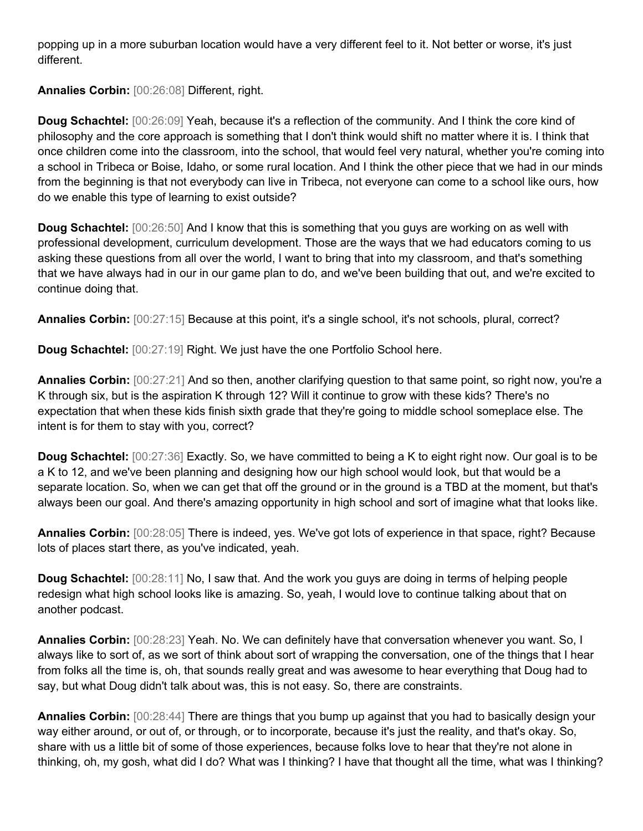popping up in a more suburban location would have a very different feel to it. Not better or worse, it's just different.

**Annalies Corbin:** [00:26:08] Different, right.

**Doug Schachtel:** [00:26:09] Yeah, because it's a reflection of the community. And I think the core kind of philosophy and the core approach is something that I don't think would shift no matter where it is. I think that once children come into the classroom, into the school, that would feel very natural, whether you're coming into a school in Tribeca or Boise, Idaho, or some rural location. And I think the other piece that we had in our minds from the beginning is that not everybody can live in Tribeca, not everyone can come to a school like ours, how do we enable this type of learning to exist outside?

**Doug Schachtel:** [00:26:50] And I know that this is something that you guys are working on as well with professional development, curriculum development. Those are the ways that we had educators coming to us asking these questions from all over the world, I want to bring that into my classroom, and that's something that we have always had in our in our game plan to do, and we've been building that out, and we're excited to continue doing that.

**Annalies Corbin:** [00:27:15] Because at this point, it's a single school, it's not schools, plural, correct?

**Doug Schachtel:** [00:27:19] Right. We just have the one Portfolio School here.

**Annalies Corbin:** [00:27:21] And so then, another clarifying question to that same point, so right now, you're a K through six, but is the aspiration K through 12? Will it continue to grow with these kids? There's no expectation that when these kids finish sixth grade that they're going to middle school someplace else. The intent is for them to stay with you, correct?

**Doug Schachtel:** [00:27:36] Exactly. So, we have committed to being a K to eight right now. Our goal is to be a K to 12, and we've been planning and designing how our high school would look, but that would be a separate location. So, when we can get that off the ground or in the ground is a TBD at the moment, but that's always been our goal. And there's amazing opportunity in high school and sort of imagine what that looks like.

**Annalies Corbin:** [00:28:05] There is indeed, yes. We've got lots of experience in that space, right? Because lots of places start there, as you've indicated, yeah.

**Doug Schachtel:** [00:28:11] No, I saw that. And the work you guys are doing in terms of helping people redesign what high school looks like is amazing. So, yeah, I would love to continue talking about that on another podcast.

**Annalies Corbin:** [00:28:23] Yeah. No. We can definitely have that conversation whenever you want. So, I always like to sort of, as we sort of think about sort of wrapping the conversation, one of the things that I hear from folks all the time is, oh, that sounds really great and was awesome to hear everything that Doug had to say, but what Doug didn't talk about was, this is not easy. So, there are constraints.

**Annalies Corbin:** [00:28:44] There are things that you bump up against that you had to basically design your way either around, or out of, or through, or to incorporate, because it's just the reality, and that's okay. So, share with us a little bit of some of those experiences, because folks love to hear that they're not alone in thinking, oh, my gosh, what did I do? What was I thinking? I have that thought all the time, what was I thinking?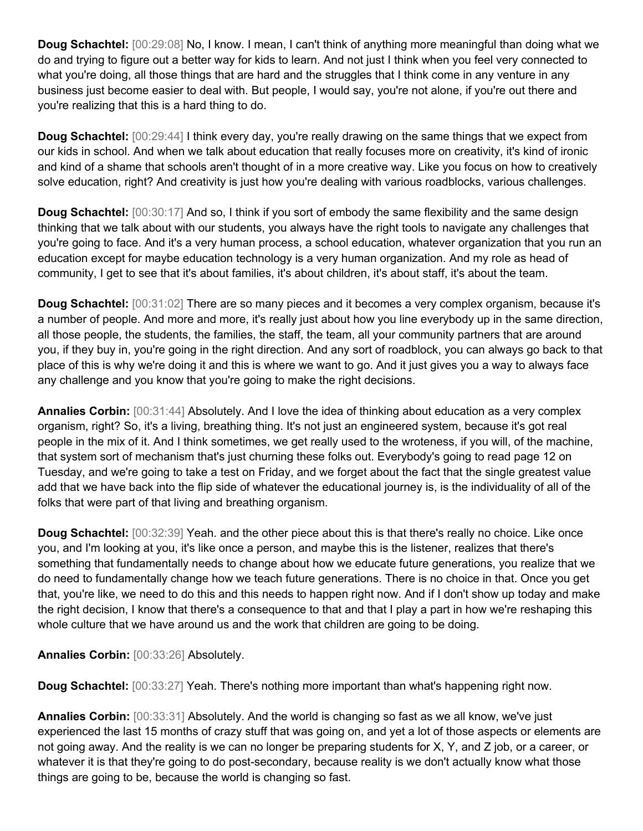**Doug Schachtel:** [00:29:08] No, I know. I mean, I can't think of anything more meaningful than doing what we do and trying to figure out a better way for kids to learn. And not just I think when you feel very connected to what you're doing, all those things that are hard and the struggles that I think come in any venture in any business just become easier to deal with. But people, I would say, you're not alone, if you're out there and you're realizing that this is a hard thing to do.

**Doug Schachtel:** [00:29:44] I think every day, you're really drawing on the same things that we expect from our kids in school. And when we talk about education that really focuses more on creativity, it's kind of ironic and kind of a shame that schools aren't thought of in a more creative way. Like you focus on how to creatively solve education, right? And creativity is just how you're dealing with various roadblocks, various challenges.

**Doug Schachtel:** [00:30:17] And so, I think if you sort of embody the same flexibility and the same design thinking that we talk about with our students, you always have the right tools to navigate any challenges that you're going to face. And it's a very human process, a school education, whatever organization that you run an education except for maybe education technology is a very human organization. And my role as head of community, I get to see that it's about families, it's about children, it's about staff, it's about the team.

**Doug Schachtel:** [00:31:02] There are so many pieces and it becomes a very complex organism, because it's a number of people. And more and more, it's really just about how you line everybody up in the same direction, all those people, the students, the families, the staff, the team, all your community partners that are around you, if they buy in, you're going in the right direction. And any sort of roadblock, you can always go back to that place of this is why we're doing it and this is where we want to go. And it just gives you a way to always face any challenge and you know that you're going to make the right decisions.

**Annalies Corbin:** [00:31:44] Absolutely. And I love the idea of thinking about education as a very complex organism, right? So, it's a living, breathing thing. It's not just an engineered system, because it's got real people in the mix of it. And I think sometimes, we get really used to the wroteness, if you will, of the machine, that system sort of mechanism that's just churning these folks out. Everybody's going to read page 12 on Tuesday, and we're going to take a test on Friday, and we forget about the fact that the single greatest value add that we have back into the flip side of whatever the educational journey is, is the individuality of all of the folks that were part of that living and breathing organism.

**Doug Schachtel:** [00:32:39] Yeah. and the other piece about this is that there's really no choice. Like once you, and I'm looking at you, it's like once a person, and maybe this is the listener, realizes that there's something that fundamentally needs to change about how we educate future generations, you realize that we do need to fundamentally change how we teach future generations. There is no choice in that. Once you get that, you're like, we need to do this and this needs to happen right now. And if I don't show up today and make the right decision, I know that there's a consequence to that and that I play a part in how we're reshaping this whole culture that we have around us and the work that children are going to be doing.

**Annalies Corbin:** [00:33:26] Absolutely.

**Doug Schachtel:** [00:33:27] Yeah. There's nothing more important than what's happening right now.

**Annalies Corbin:** [00:33:31] Absolutely. And the world is changing so fast as we all know, we've just experienced the last 15 months of crazy stuff that was going on, and yet a lot of those aspects or elements are not going away. And the reality is we can no longer be preparing students for X, Y, and Z job, or a career, or whatever it is that they're going to do post-secondary, because reality is we don't actually know what those things are going to be, because the world is changing so fast.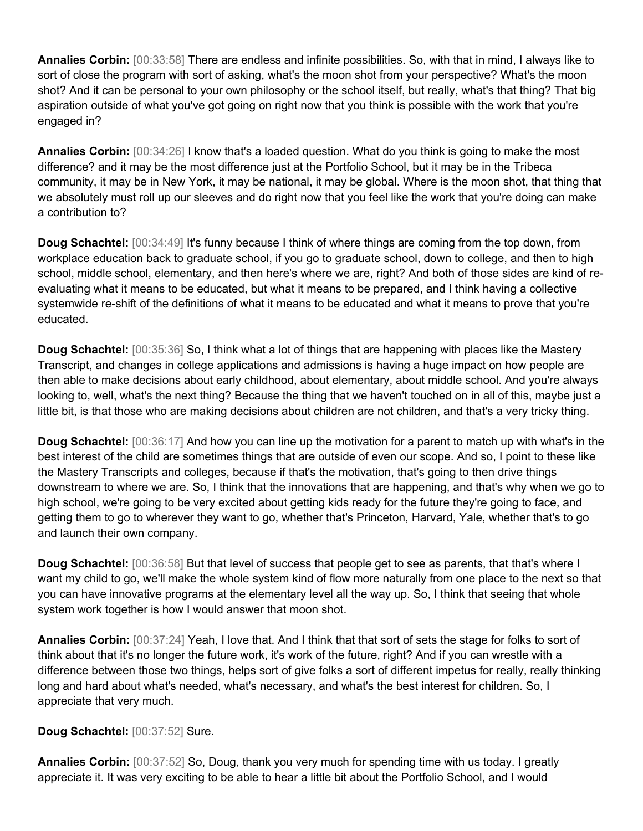**Annalies Corbin:** [00:33:58] There are endless and infinite possibilities. So, with that in mind, I always like to sort of close the program with sort of asking, what's the moon shot from your perspective? What's the moon shot? And it can be personal to your own philosophy or the school itself, but really, what's that thing? That big aspiration outside of what you've got going on right now that you think is possible with the work that you're engaged in?

**Annalies Corbin:** [00:34:26] I know that's a loaded question. What do you think is going to make the most difference? and it may be the most difference just at the Portfolio School, but it may be in the Tribeca community, it may be in New York, it may be national, it may be global. Where is the moon shot, that thing that we absolutely must roll up our sleeves and do right now that you feel like the work that you're doing can make a contribution to?

**Doug Schachtel:** [00:34:49] It's funny because I think of where things are coming from the top down, from workplace education back to graduate school, if you go to graduate school, down to college, and then to high school, middle school, elementary, and then here's where we are, right? And both of those sides are kind of reevaluating what it means to be educated, but what it means to be prepared, and I think having a collective systemwide re-shift of the definitions of what it means to be educated and what it means to prove that you're educated.

**Doug Schachtel:** [00:35:36] So, I think what a lot of things that are happening with places like the Mastery Transcript, and changes in college applications and admissions is having a huge impact on how people are then able to make decisions about early childhood, about elementary, about middle school. And you're always looking to, well, what's the next thing? Because the thing that we haven't touched on in all of this, maybe just a little bit, is that those who are making decisions about children are not children, and that's a very tricky thing.

**Doug Schachtel:** [00:36:17] And how you can line up the motivation for a parent to match up with what's in the best interest of the child are sometimes things that are outside of even our scope. And so, I point to these like the Mastery Transcripts and colleges, because if that's the motivation, that's going to then drive things downstream to where we are. So, I think that the innovations that are happening, and that's why when we go to high school, we're going to be very excited about getting kids ready for the future they're going to face, and getting them to go to wherever they want to go, whether that's Princeton, Harvard, Yale, whether that's to go and launch their own company.

**Doug Schachtel:** [00:36:58] But that level of success that people get to see as parents, that that's where I want my child to go, we'll make the whole system kind of flow more naturally from one place to the next so that you can have innovative programs at the elementary level all the way up. So, I think that seeing that whole system work together is how I would answer that moon shot.

**Annalies Corbin:** [00:37:24] Yeah, I love that. And I think that that sort of sets the stage for folks to sort of think about that it's no longer the future work, it's work of the future, right? And if you can wrestle with a difference between those two things, helps sort of give folks a sort of different impetus for really, really thinking long and hard about what's needed, what's necessary, and what's the best interest for children. So, I appreciate that very much.

**Doug Schachtel:** [00:37:52] Sure.

**Annalies Corbin:** [00:37:52] So, Doug, thank you very much for spending time with us today. I greatly appreciate it. It was very exciting to be able to hear a little bit about the Portfolio School, and I would